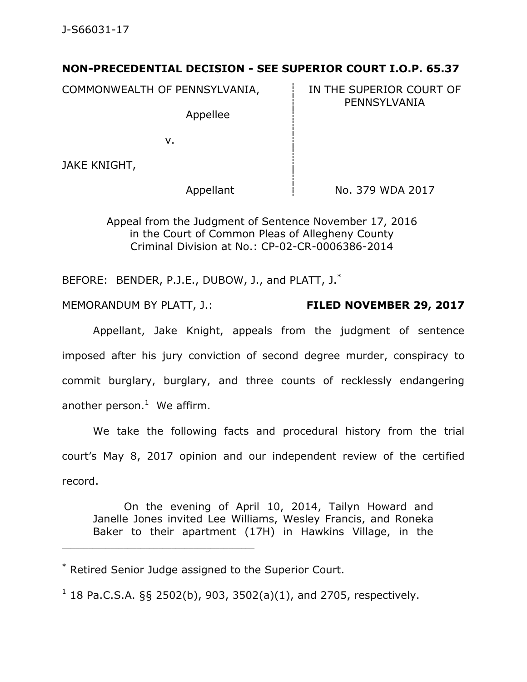## **NON-PRECEDENTIAL DECISION - SEE SUPERIOR COURT I.O.P. 65.37**

COMMONWEALTH OF PENNSYLVANIA, Fig. 1N THE SUPERIOR COURT OF

Appellee

PENNSYLVANIA

v.

JAKE KNIGHT,

Appellant  $\frac{1}{1}$  No. 379 WDA 2017

Appeal from the Judgment of Sentence November 17, 2016 in the Court of Common Pleas of Allegheny County Criminal Division at No.: CP-02-CR-0006386-2014

BEFORE: BENDER, P.J.E., DUBOW, J., and PLATT, J.<sup>\*</sup>

MEMORANDUM BY PLATT, J.: **FILED NOVEMBER 29, 2017**

Appellant, Jake Knight, appeals from the judgment of sentence imposed after his jury conviction of second degree murder, conspiracy to commit burglary, burglary, and three counts of recklessly endangering another person.<sup>1</sup> We affirm.

We take the following facts and procedural history from the trial court's May 8, 2017 opinion and our independent review of the certified record.

On the evening of April 10, 2014, Tailyn Howard and Janelle Jones invited Lee Williams, Wesley Francis, and Roneka Baker to their apartment (17H) in Hawkins Village, in the

\* Retired Senior Judge assigned to the Superior Court.

\_\_\_\_\_\_\_\_\_\_\_\_\_\_\_\_\_\_\_\_\_\_\_\_\_\_\_\_\_\_\_\_\_\_\_\_\_\_\_\_\_\_\_\_

 $1$  18 Pa.C.S.A. §§ 2502(b), 903, 3502(a)(1), and 2705, respectively.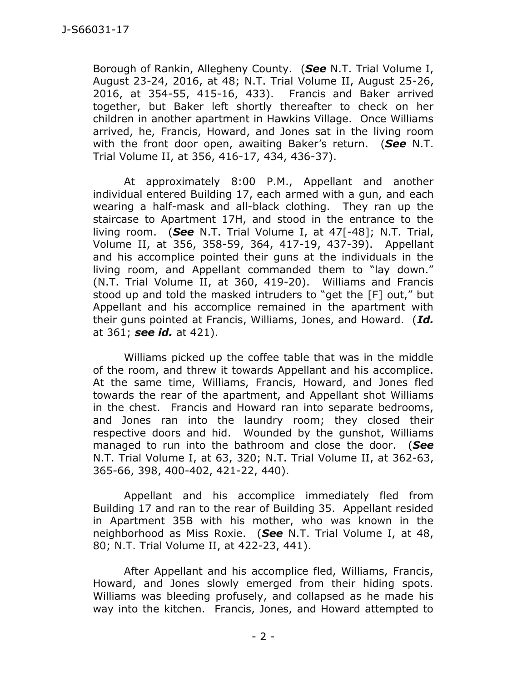Borough of Rankin, Allegheny County. (*See* N.T. Trial Volume I, August 23-24, 2016, at 48; N.T. Trial Volume II, August 25-26, 2016, at 354-55, 415-16, 433). Francis and Baker arrived together, but Baker left shortly thereafter to check on her children in another apartment in Hawkins Village. Once Williams arrived, he, Francis, Howard, and Jones sat in the living room with the front door open, awaiting Baker's return. (*See* N.T. Trial Volume II, at 356, 416-17, 434, 436-37).

At approximately 8:00 P.M., Appellant and another individual entered Building 17, each armed with a gun, and each wearing a half-mask and all-black clothing. They ran up the staircase to Apartment 17H, and stood in the entrance to the living room. (*See* N.T. Trial Volume I, at 47[-48]; N.T. Trial, Volume II, at 356, 358-59, 364, 417-19, 437-39). Appellant and his accomplice pointed their guns at the individuals in the living room, and Appellant commanded them to "lay down." (N.T. Trial Volume II, at 360, 419-20). Williams and Francis stood up and told the masked intruders to "get the [F] out," but Appellant and his accomplice remained in the apartment with their guns pointed at Francis, Williams, Jones, and Howard. (*Id.* at 361; *see id.* at 421).

Williams picked up the coffee table that was in the middle of the room, and threw it towards Appellant and his accomplice. At the same time, Williams, Francis, Howard, and Jones fled towards the rear of the apartment, and Appellant shot Williams in the chest. Francis and Howard ran into separate bedrooms, and Jones ran into the laundry room; they closed their respective doors and hid. Wounded by the gunshot, Williams managed to run into the bathroom and close the door. (*See* N.T. Trial Volume I, at 63, 320; N.T. Trial Volume II, at 362-63, 365-66, 398, 400-402, 421-22, 440).

Appellant and his accomplice immediately fled from Building 17 and ran to the rear of Building 35. Appellant resided in Apartment 35B with his mother, who was known in the neighborhood as Miss Roxie. (*See* N.T. Trial Volume I, at 48, 80; N.T. Trial Volume II, at 422-23, 441).

After Appellant and his accomplice fled, Williams, Francis, Howard, and Jones slowly emerged from their hiding spots. Williams was bleeding profusely, and collapsed as he made his way into the kitchen. Francis, Jones, and Howard attempted to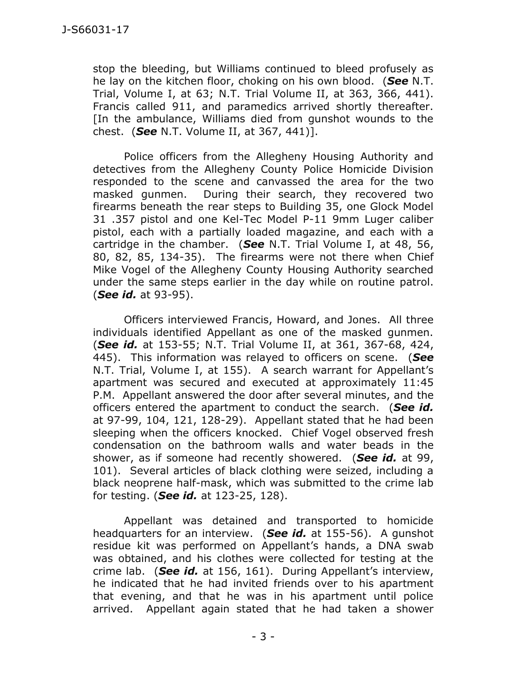stop the bleeding, but Williams continued to bleed profusely as he lay on the kitchen floor, choking on his own blood. (*See* N.T. Trial, Volume I, at 63; N.T. Trial Volume II, at 363, 366, 441). Francis called 911, and paramedics arrived shortly thereafter. [In the ambulance, Williams died from gunshot wounds to the chest. (*See* N.T. Volume II, at 367, 441)].

Police officers from the Allegheny Housing Authority and detectives from the Allegheny County Police Homicide Division responded to the scene and canvassed the area for the two masked gunmen. During their search, they recovered two firearms beneath the rear steps to Building 35, one Glock Model 31 .357 pistol and one Kel-Tec Model P-11 9mm Luger caliber pistol, each with a partially loaded magazine, and each with a cartridge in the chamber. (*See* N.T. Trial Volume I, at 48, 56, 80, 82, 85, 134-35). The firearms were not there when Chief Mike Vogel of the Allegheny County Housing Authority searched under the same steps earlier in the day while on routine patrol. (*See id.* at 93-95).

Officers interviewed Francis, Howard, and Jones. All three individuals identified Appellant as one of the masked gunmen. (*See id.* at 153-55; N.T. Trial Volume II, at 361, 367-68, 424, 445). This information was relayed to officers on scene. (*See*  N.T. Trial, Volume I, at 155). A search warrant for Appellant's apartment was secured and executed at approximately 11:45 P.M. Appellant answered the door after several minutes, and the officers entered the apartment to conduct the search. (*See id.* at 97-99, 104, 121, 128-29). Appellant stated that he had been sleeping when the officers knocked. Chief Vogel observed fresh condensation on the bathroom walls and water beads in the shower, as if someone had recently showered. (*See id.* at 99, 101). Several articles of black clothing were seized, including a black neoprene half-mask, which was submitted to the crime lab for testing. (*See id.* at 123-25, 128).

Appellant was detained and transported to homicide headquarters for an interview. (*See id.* at 155-56). A gunshot residue kit was performed on Appellant's hands, a DNA swab was obtained, and his clothes were collected for testing at the crime lab. (*See id.* at 156, 161). During Appellant's interview, he indicated that he had invited friends over to his apartment that evening, and that he was in his apartment until police arrived. Appellant again stated that he had taken a shower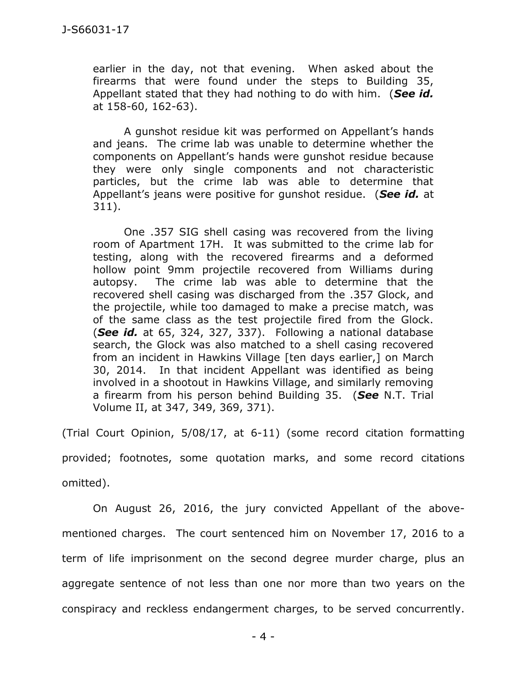earlier in the day, not that evening. When asked about the firearms that were found under the steps to Building 35, Appellant stated that they had nothing to do with him. (*See id.* at 158-60, 162-63).

A gunshot residue kit was performed on Appellant's hands and jeans. The crime lab was unable to determine whether the components on Appellant's hands were gunshot residue because they were only single components and not characteristic particles, but the crime lab was able to determine that Appellant's jeans were positive for gunshot residue. (*See id.* at 311).

One .357 SIG shell casing was recovered from the living room of Apartment 17H. It was submitted to the crime lab for testing, along with the recovered firearms and a deformed hollow point 9mm projectile recovered from Williams during autopsy. The crime lab was able to determine that the recovered shell casing was discharged from the .357 Glock, and the projectile, while too damaged to make a precise match, was of the same class as the test projectile fired from the Glock. (*See id.* at 65, 324, 327, 337). Following a national database search, the Glock was also matched to a shell casing recovered from an incident in Hawkins Village [ten days earlier,] on March 30, 2014. In that incident Appellant was identified as being involved in a shootout in Hawkins Village, and similarly removing a firearm from his person behind Building 35. (*See* N.T. Trial Volume II, at 347, 349, 369, 371).

(Trial Court Opinion, 5/08/17, at 6-11) (some record citation formatting provided; footnotes, some quotation marks, and some record citations omitted).

On August 26, 2016, the jury convicted Appellant of the abovementioned charges. The court sentenced him on November 17, 2016 to a term of life imprisonment on the second degree murder charge, plus an aggregate sentence of not less than one nor more than two years on the conspiracy and reckless endangerment charges, to be served concurrently.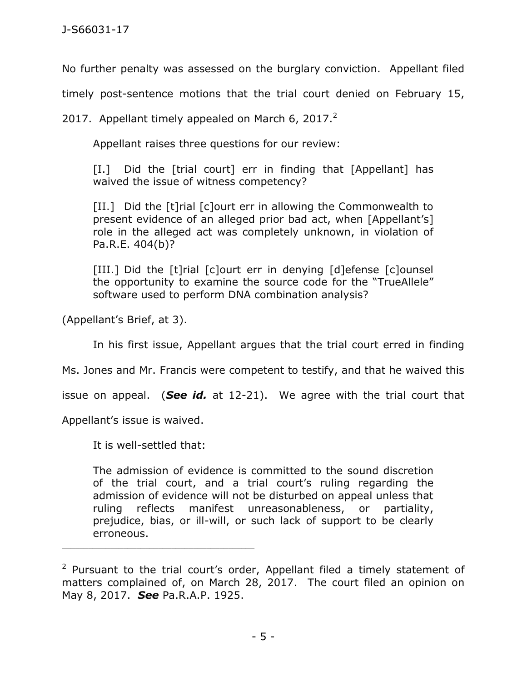No further penalty was assessed on the burglary conviction. Appellant filed

timely post-sentence motions that the trial court denied on February 15,

2017. Appellant timely appealed on March 6, 2017. $^2$ 

Appellant raises three questions for our review:

[I.] Did the [trial court] err in finding that [Appellant] has waived the issue of witness competency?

[II.] Did the [t]rial [c]ourt err in allowing the Commonwealth to present evidence of an alleged prior bad act, when [Appellant's] role in the alleged act was completely unknown, in violation of Pa.R.E. 404(b)?

[III.] Did the [t]rial [c]ourt err in denying [d]efense [c]ounsel the opportunity to examine the source code for the "TrueAllele" software used to perform DNA combination analysis?

(Appellant's Brief, at 3).

In his first issue, Appellant argues that the trial court erred in finding

Ms. Jones and Mr. Francis were competent to testify, and that he waived this

issue on appeal. (*See id.* at 12-21). We agree with the trial court that

Appellant's issue is waived.

It is well-settled that:

\_\_\_\_\_\_\_\_\_\_\_\_\_\_\_\_\_\_\_\_\_\_\_\_\_\_\_\_\_\_\_\_\_\_\_\_\_\_\_\_\_\_\_\_

The admission of evidence is committed to the sound discretion of the trial court, and a trial court's ruling regarding the admission of evidence will not be disturbed on appeal unless that ruling reflects manifest unreasonableness, or partiality, prejudice, bias, or ill-will, or such lack of support to be clearly erroneous.

<sup>&</sup>lt;sup>2</sup> Pursuant to the trial court's order, Appellant filed a timely statement of matters complained of, on March 28, 2017. The court filed an opinion on May 8, 2017. *See* Pa.R.A.P. 1925.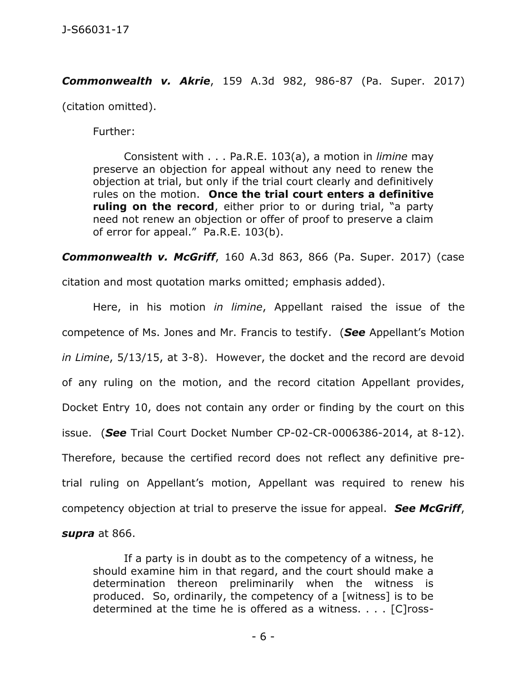*Commonwealth v. Akrie*, 159 A.3d 982, 986-87 (Pa. Super. 2017)

(citation omitted).

Further:

Consistent with . . . [Pa.R.E. 103\(a\),](https://1.next.westlaw.com/Link/Document/FullText?findType=L&pubNum=1015610&cite=PASTREVR103&originatingDoc=I3bb9e1a0276411e7815ea6969ee18a03&refType=LQ&originationContext=document&transitionType=DocumentItem&contextData=(sc.Keycite)) a motion in *limine* may preserve an objection for appeal without any need to renew the objection at trial, but only if the trial court clearly and definitively rules on the motion. **Once the trial court enters a definitive ruling on the record**, either prior to or during trial, "a party need not renew an objection or offer of proof to preserve a claim of error for appeal." Pa.R.E. 103(b).

*Commonwealth v. McGriff*, 160 A.3d 863, 866 (Pa. Super. 2017) (case citation and most quotation marks omitted; emphasis added).

Here, in his motion *in limine*, Appellant raised the issue of the competence of Ms. Jones and Mr. Francis to testify. (*See* Appellant's Motion *in Limine*, 5/13/15, at 3-8). However, the docket and the record are devoid of any ruling on the motion, and the record citation Appellant provides, Docket Entry 10, does not contain any order or finding by the court on this issue. (*See* Trial Court Docket Number CP-02-CR-0006386-2014, at 8-12). Therefore, because the certified record does not reflect any definitive pretrial ruling on Appellant's motion, Appellant was required to renew his competency objection at trial to preserve the issue for appeal. *See McGriff*, *supra* at 866.

If a party is in doubt as to the competency of a witness, he should examine him in that regard, and the court should make a determination thereon preliminarily when the witness is produced. So, ordinarily, the competency of a [witness] is to be determined at the time he is offered as a witness. . . . [C]ross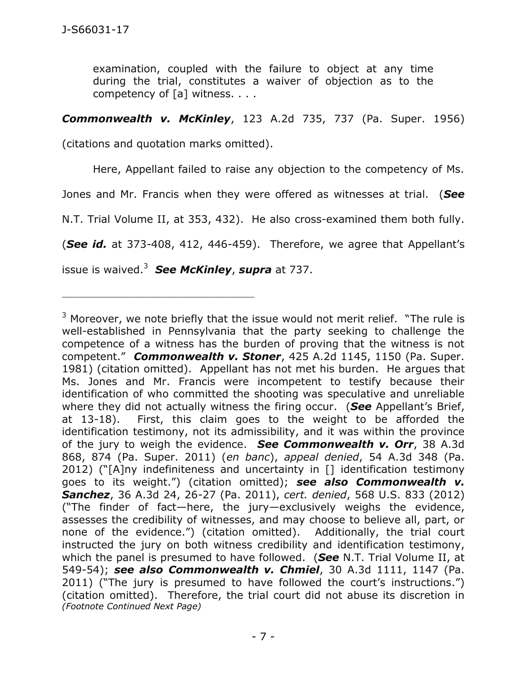examination, coupled with the failure to object at any time during the trial, constitutes a waiver of objection as to the competency of [a] witness. . . .

## *Commonwealth v. McKinley*, 123 A.2d 735, 737 (Pa. Super. 1956)

(citations and quotation marks omitted).

Here, Appellant failed to raise any objection to the competency of Ms.

Jones and Mr. Francis when they were offered as witnesses at trial. (*See*

N.T. Trial Volume II, at 353, 432). He also cross-examined them both fully.

(*See id.* at 373-408, 412, 446-459). Therefore, we agree that Appellant's

issue is waived.<sup>3</sup> *See McKinley*, *supra* at 737.

\_\_\_\_\_\_\_\_\_\_\_\_\_\_\_\_\_\_\_\_\_\_\_\_\_\_\_\_\_\_\_\_\_\_\_\_\_\_\_\_\_\_\_\_

 $3$  Moreover, we note briefly that the issue would not merit relief. "The rule is well-established in Pennsylvania that the party seeking to challenge the competence of a witness has the burden of proving that the witness is not competent." *Commonwealth v. Stoner*, 425 A.2d 1145, 1150 (Pa. Super. 1981) (citation omitted). Appellant has not met his burden. He argues that Ms. Jones and Mr. Francis were incompetent to testify because their identification of who committed the shooting was speculative and unreliable where they did not actually witness the firing occur. (*See* Appellant's Brief, at 13-18). First, this claim goes to the weight to be afforded the identification testimony, not its admissibility, and it was within the province of the jury to weigh the evidence. *See Commonwealth v. Orr*, 38 A.3d 868, 874 (Pa. Super. 2011) (*en banc*), *appeal denied*, 54 A.3d 348 (Pa. 2012) ("[A]ny indefiniteness and uncertainty in [] identification testimony goes to its weight.") (citation omitted); *see also Commonwealth v. Sanchez*, 36 A.3d 24, 26-27 (Pa. 2011), *cert. denied*, 568 U.S. 833 (2012) ("The finder of fact—here, the jury—exclusively weighs the evidence, assesses the credibility of witnesses, and may choose to believe all, part, or none of the evidence.") (citation omitted). Additionally, the trial court instructed the jury on both witness credibility and identification testimony, which the panel is presumed to have followed. (*See* N.T. Trial Volume II, at 549-54); *see also Commonwealth v. Chmiel*, 30 A.3d 1111, 1147 (Pa. 2011) ("The jury is presumed to have followed the court's instructions.") (citation omitted). Therefore, the trial court did not abuse its discretion in *(Footnote Continued Next Page)*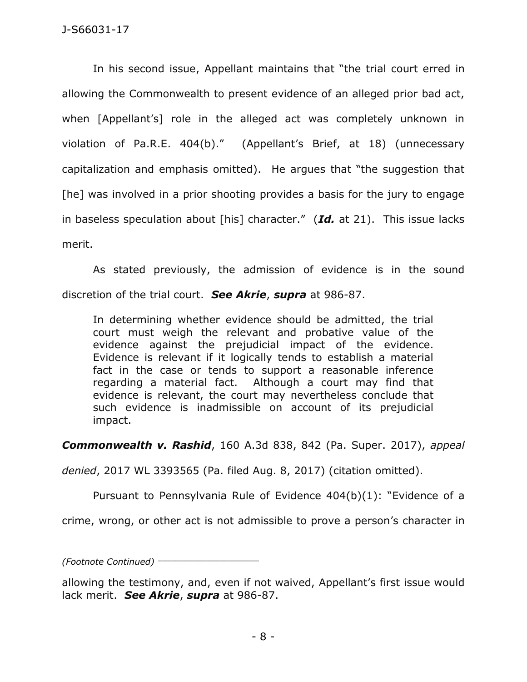In his second issue, Appellant maintains that "the trial court erred in allowing the Commonwealth to present evidence of an alleged prior bad act, when [Appellant's] role in the alleged act was completely unknown in violation of Pa.R.E. 404(b)." (Appellant's Brief, at 18) (unnecessary capitalization and emphasis omitted). He argues that "the suggestion that [he] was involved in a prior shooting provides a basis for the jury to engage in baseless speculation about [his] character." (*Id.* at 21). This issue lacks merit.

As stated previously, the admission of evidence is in the sound discretion of the trial court. *See Akrie*, *supra* at 986-87.

In determining whether evidence should be admitted, the trial court must weigh the relevant and probative value of the evidence against the prejudicial impact of the evidence. Evidence is relevant if it logically tends to establish a material fact in the case or tends to support a reasonable inference regarding a material fact. Although a court may find that evidence is relevant, the court may nevertheless conclude that such evidence is inadmissible on account of its prejudicial impact.

*Commonwealth v. Rashid*, 160 A.3d 838, 842 (Pa. Super. 2017), *appeal* 

*denied*, 2017 WL 3393565 (Pa. filed Aug. 8, 2017) (citation omitted).

Pursuant to Pennsylvania Rule of Evidence 404(b)(1): "Evidence of a

crime, wrong, or other act is not admissible to prove a person's character in

*(Footnote Continued)* \_\_\_\_\_\_\_\_\_\_\_\_\_\_\_\_\_\_\_\_\_\_\_

allowing the testimony, and, even if not waived, Appellant's first issue would lack merit. *See Akrie*, *supra* at 986-87.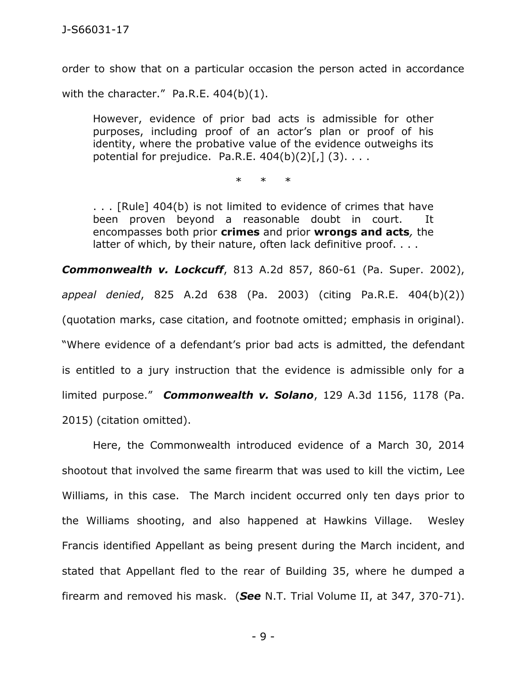order to show that on a particular occasion the person acted in accordance with the character." Pa.R.E. 404(b)(1).

However, evidence of prior bad acts is admissible for other purposes, including proof of an actor's plan or proof of his identity, where the probative value of the evidence outweighs its potential for prejudice. Pa.R.E.  $404(b)(2)[,]$  (3)....

\* \* \*

. . . [Rule] 404(b) is not limited to evidence of crimes that have been proven beyond a reasonable doubt in court. It encompasses both prior **crimes** and prior **wrongs and acts***,* the latter of which, by their nature, often lack definitive proof. . . .

*Commonwealth v. Lockcuff*, 813 A.2d 857, 860-61 (Pa. Super. 2002), *appeal denied*, 825 A.2d 638 (Pa. 2003) (citing Pa.R.E. 404(b)(2)) (quotation marks, case citation, and footnote omitted; emphasis in original). "Where evidence of a defendant's prior bad acts is admitted, the defendant is entitled to a jury instruction that the evidence is admissible only for a limited purpose." *Commonwealth v. Solano*, 129 A.3d 1156, 1178 (Pa. 2015) (citation omitted).

Here, the Commonwealth introduced evidence of a March 30, 2014 shootout that involved the same firearm that was used to kill the victim, Lee Williams, in this case. The March incident occurred only ten days prior to the Williams shooting, and also happened at Hawkins Village. Wesley Francis identified Appellant as being present during the March incident, and stated that Appellant fled to the rear of Building 35, where he dumped a firearm and removed his mask. (*See* N.T. Trial Volume II, at 347, 370-71).

- 9 -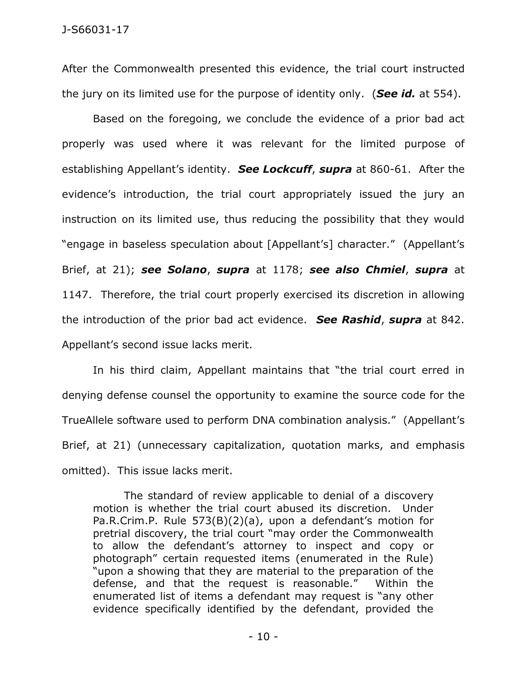After the Commonwealth presented this evidence, the trial court instructed the jury on its limited use for the purpose of identity only. (*See id.* at 554).

Based on the foregoing, we conclude the evidence of a prior bad act properly was used where it was relevant for the limited purpose of establishing Appellant's identity. *See Lockcuff*, *supra* at 860-61. After the evidence's introduction, the trial court appropriately issued the jury an instruction on its limited use, thus reducing the possibility that they would "engage in baseless speculation about [Appellant's] character." (Appellant's Brief, at 21); *see Solano*, *supra* at 1178; *see also Chmiel*, *supra* at 1147. Therefore, the trial court properly exercised its discretion in allowing the introduction of the prior bad act evidence. *See Rashid*, *supra* at 842. Appellant's second issue lacks merit.

In his third claim, Appellant maintains that "the trial court erred in denying defense counsel the opportunity to examine the source code for the TrueAllele software used to perform DNA combination analysis." (Appellant's Brief, at 21) (unnecessary capitalization, quotation marks, and emphasis omitted). This issue lacks merit.

The standard of review applicable to denial of a discovery motion is whether the trial court abused its discretion. Under [Pa.R.Crim.P. Rule 573\(B\)\(2\)\(a\),](https://1.next.westlaw.com/Link/Document/FullText?findType=L&pubNum=1000262&cite=PASTRCRPR573&originatingDoc=Ic2c576f532e911d986b0aa9c82c164c0&refType=LQ&originationContext=document&transitionType=DocumentItem&contextData=(sc.Search)) upon a defendant's motion for pretrial discovery, the trial court "may order the Commonwealth to allow the defendant's attorney to inspect and copy or photograph" certain requested items (enumerated in the Rule) "upon a showing that they are material to the preparation of the defense, and that the request is reasonable." Within the enumerated list of items a defendant may request is "any other evidence specifically identified by the defendant, provided the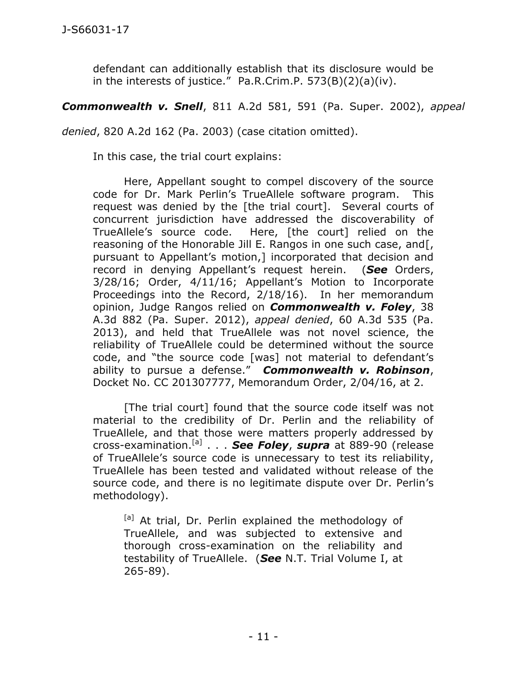defendant can additionally establish that its disclosure would be in the interests of justice." [Pa.R.Crim.P. 573\(B\)\(2\)\(a\)\(iv\).](https://1.next.westlaw.com/Link/Document/FullText?findType=L&pubNum=1000262&cite=PASTRCRPR573&originatingDoc=Ic2c576f532e911d986b0aa9c82c164c0&refType=LQ&originationContext=document&transitionType=DocumentItem&contextData=(sc.Search))

*Commonwealth v. Snell*, 811 A.2d 581, 591 (Pa. Super. 2002), *appeal* 

*denied*, 820 A.2d 162 (Pa. 2003) (case citation omitted).

In this case, the trial court explains:

Here, Appellant sought to compel discovery of the source code for Dr. Mark Perlin's TrueAllele software program. This request was denied by the [the trial court]. Several courts of concurrent jurisdiction have addressed the discoverability of TrueAllele's source code. Here, [the court] relied on the reasoning of the Honorable Jill E. Rangos in one such case, and[, pursuant to Appellant's motion,] incorporated that decision and record in denying Appellant's request herein. (*See* Orders, 3/28/16; Order, 4/11/16; Appellant's Motion to Incorporate Proceedings into the Record, 2/18/16). In her memorandum opinion, Judge Rangos relied on *Commonwealth v. Foley*, 38 A.3d 882 (Pa. Super. 2012), *appeal denied*, 60 A.3d 535 (Pa. 2013), and held that TrueAllele was not novel science, the reliability of TrueAllele could be determined without the source code, and "the source code [was] not material to defendant's ability to pursue a defense." *Commonwealth v. Robinson*, Docket No. CC 201307777, Memorandum Order, 2/04/16, at 2.

[The trial court] found that the source code itself was not material to the credibility of Dr. Perlin and the reliability of TrueAllele, and that those were matters properly addressed by cross-examination.[a] . . . *See Foley*, *supra* at 889-90 (release of TrueAllele's source code is unnecessary to test its reliability, TrueAllele has been tested and validated without release of the source code, and there is no legitimate dispute over Dr. Perlin's methodology).

[a] At trial, Dr. Perlin explained the methodology of TrueAllele, and was subjected to extensive and thorough cross-examination on the reliability and testability of TrueAllele. (*See* N.T. Trial Volume I, at 265-89).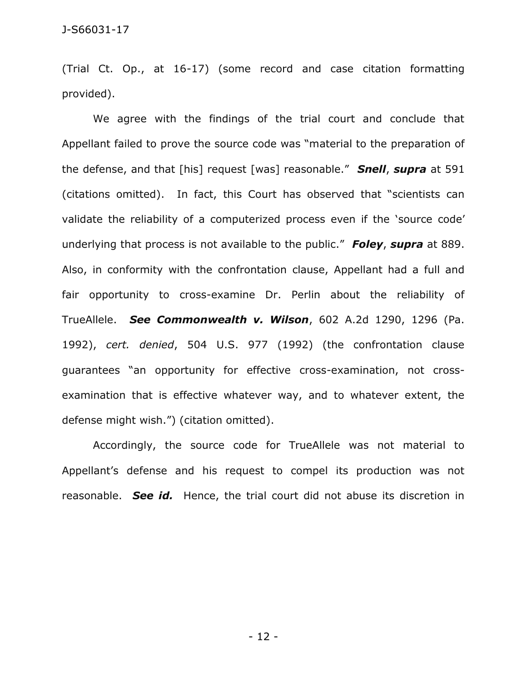(Trial Ct. Op., at 16-17) (some record and case citation formatting provided).

We agree with the findings of the trial court and conclude that Appellant failed to prove the source code was "material to the preparation of the defense, and that [his] request [was] reasonable." *Snell*, *supra* at 591 (citations omitted). In fact, this Court has observed that "scientists can validate the reliability of a computerized process even if the 'source code' underlying that process is not available to the public." *Foley*, *supra* at 889. Also, in conformity with the confrontation clause, Appellant had a full and fair opportunity to cross-examine Dr. Perlin about the reliability of TrueAllele. *See Commonwealth v. Wilson*, 602 A.2d 1290, 1296 (Pa. 1992), *cert. denied*, 504 U.S. 977 (1992) (the confrontation clause guarantees "an opportunity for effective cross-examination, not crossexamination that is effective whatever way, and to whatever extent, the defense might wish.") (citation omitted).

Accordingly, the source code for TrueAllele was not material to Appellant's defense and his request to compel its production was not reasonable. *See id.* Hence, the trial court did not abuse its discretion in

- 12 -